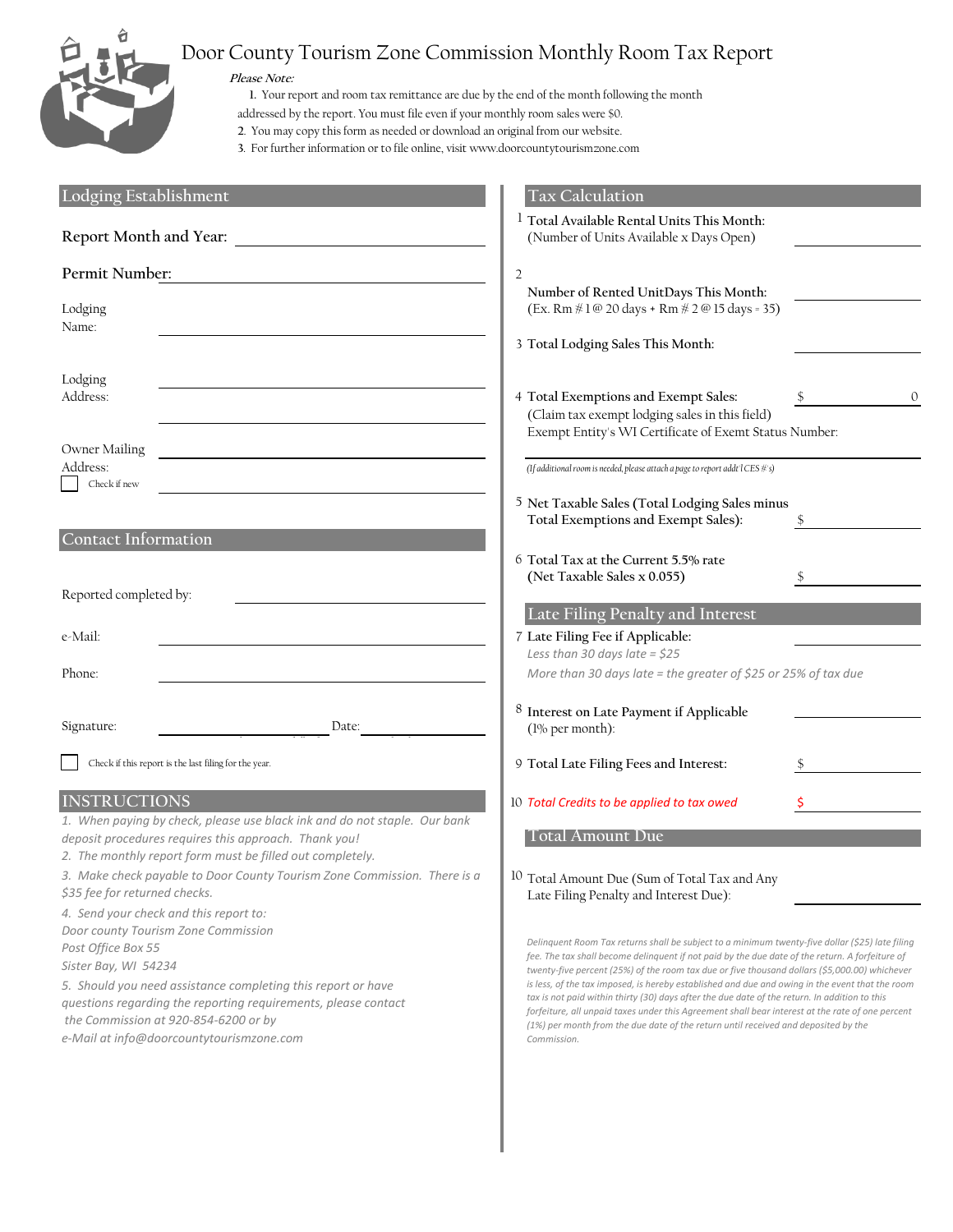

# Door County Tourism Zone Commission Monthly Room Tax Report

**Please Note:**

**1.** Your report and room tax remittance are due by the end of the month following the month

addressed by the report. You must file even if your monthly room sales were \$0.

**2**. You may copy this form as needed or download an original from our website.

**3**. For further information or to file online, visit www.doorcountytourismzone.com

| Lodging Establishment                                                                                                                                                                                                                                                                                                                             | <b>Tax Calculation</b>                                                                                                                                                                                                                                                                                                                                                                                                                                                                                                                                                                                                                                                                                           |   |
|---------------------------------------------------------------------------------------------------------------------------------------------------------------------------------------------------------------------------------------------------------------------------------------------------------------------------------------------------|------------------------------------------------------------------------------------------------------------------------------------------------------------------------------------------------------------------------------------------------------------------------------------------------------------------------------------------------------------------------------------------------------------------------------------------------------------------------------------------------------------------------------------------------------------------------------------------------------------------------------------------------------------------------------------------------------------------|---|
| Report Month and Year:                                                                                                                                                                                                                                                                                                                            | <sup>1</sup> Total Available Rental Units This Month:<br>(Number of Units Available x Days Open)                                                                                                                                                                                                                                                                                                                                                                                                                                                                                                                                                                                                                 |   |
| Permit Number:                                                                                                                                                                                                                                                                                                                                    | 2                                                                                                                                                                                                                                                                                                                                                                                                                                                                                                                                                                                                                                                                                                                |   |
| Lodging<br>Name:                                                                                                                                                                                                                                                                                                                                  | Number of Rented UnitDays This Month:<br>(Ex. Rm #1@ 20 days + Rm # 2@ 15 days = 35)                                                                                                                                                                                                                                                                                                                                                                                                                                                                                                                                                                                                                             |   |
|                                                                                                                                                                                                                                                                                                                                                   | 3 Total Lodging Sales This Month:                                                                                                                                                                                                                                                                                                                                                                                                                                                                                                                                                                                                                                                                                |   |
| Lodging<br>Address:                                                                                                                                                                                                                                                                                                                               | 4 Total Exemptions and Exempt Sales:<br>(Claim tax exempt lodging sales in this field)                                                                                                                                                                                                                                                                                                                                                                                                                                                                                                                                                                                                                           | 0 |
|                                                                                                                                                                                                                                                                                                                                                   | Exempt Entity's WI Certificate of Exemt Status Number:                                                                                                                                                                                                                                                                                                                                                                                                                                                                                                                                                                                                                                                           |   |
| Owner Mailing<br>Address:<br>Check if new                                                                                                                                                                                                                                                                                                         | (If additional room is needed, please attach a page to report addt'l CES #'s)                                                                                                                                                                                                                                                                                                                                                                                                                                                                                                                                                                                                                                    |   |
|                                                                                                                                                                                                                                                                                                                                                   | 5 Net Taxable Sales (Total Lodging Sales minus<br>Total Exemptions and Exempt Sales):                                                                                                                                                                                                                                                                                                                                                                                                                                                                                                                                                                                                                            |   |
| <b>Contact Information</b>                                                                                                                                                                                                                                                                                                                        | 6 Total Tax at the Current 5.5% rate<br>(Net Taxable Sales x 0.055)                                                                                                                                                                                                                                                                                                                                                                                                                                                                                                                                                                                                                                              |   |
| Reported completed by:                                                                                                                                                                                                                                                                                                                            | Late Filing Penalty and Interest                                                                                                                                                                                                                                                                                                                                                                                                                                                                                                                                                                                                                                                                                 |   |
| e-Mail:                                                                                                                                                                                                                                                                                                                                           | 7 Late Filing Fee if Applicable:<br>Less than 30 days late = $$25$                                                                                                                                                                                                                                                                                                                                                                                                                                                                                                                                                                                                                                               |   |
| Phone:                                                                                                                                                                                                                                                                                                                                            | More than 30 days late = the greater of \$25 or 25% of tax due                                                                                                                                                                                                                                                                                                                                                                                                                                                                                                                                                                                                                                                   |   |
| Signature:<br>Date:                                                                                                                                                                                                                                                                                                                               | 8 Interest on Late Payment if Applicable<br>$(1\%$ per month):                                                                                                                                                                                                                                                                                                                                                                                                                                                                                                                                                                                                                                                   |   |
| Check if this report is the last filing for the year.                                                                                                                                                                                                                                                                                             | 9 Total Late Filing Fees and Interest:                                                                                                                                                                                                                                                                                                                                                                                                                                                                                                                                                                                                                                                                           |   |
| <b>INSTRUCTIONS</b>                                                                                                                                                                                                                                                                                                                               | 10 Total Credits to be applied to tax owed                                                                                                                                                                                                                                                                                                                                                                                                                                                                                                                                                                                                                                                                       |   |
| 1. When paying by check, please use black ink and do not staple. Our bank<br>deposit procedures requires this approach. Thank you!                                                                                                                                                                                                                | <b>Total Amount Due</b>                                                                                                                                                                                                                                                                                                                                                                                                                                                                                                                                                                                                                                                                                          |   |
| 2. The monthly report form must be filled out completely.<br>3. Make check payable to Door County Tourism Zone Commission. There is a<br>\$35 fee for returned checks.                                                                                                                                                                            | $10\,$<br>Total Amount Due (Sum of Total Tax and Any<br>Late Filing Penalty and Interest Due):                                                                                                                                                                                                                                                                                                                                                                                                                                                                                                                                                                                                                   |   |
| 4. Send your check and this report to:<br>Door county Tourism Zone Commission<br>Post Office Box 55<br>Sister Bay, WI 54234<br>5. Should you need assistance completing this report or have<br>questions regarding the reporting requirements, please contact<br>the Commission at 920-854-6200 or by<br>e-Mail at info@doorcountytourismzone.com | Delinquent Room Tax returns shall be subject to a minimum twenty-five dollar (\$25) late filing<br>fee. The tax shall become delinquent if not paid by the due date of the return. A forfeiture of<br>twenty-five percent (25%) of the room tax due or five thousand dollars (\$5,000.00) whichever<br>is less, of the tax imposed, is hereby established and due and owing in the event that the room<br>tax is not paid within thirty (30) days after the due date of the return. In addition to this<br>forfeiture, all unpaid taxes under this Agreement shall bear interest at the rate of one percent<br>(1%) per month from the due date of the return until received and deposited by the<br>Commission. |   |